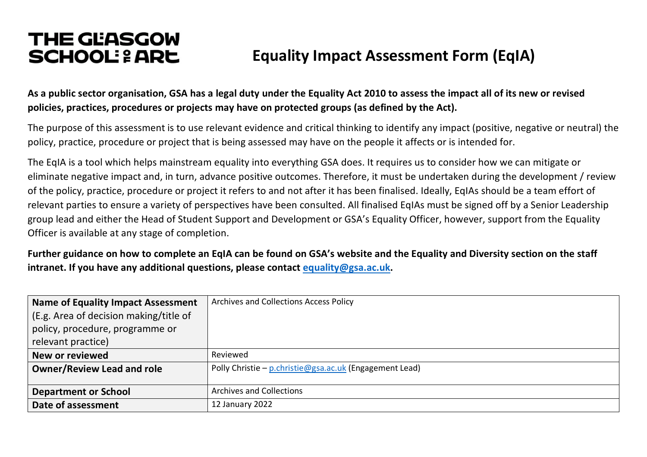# **THE GEASGOW SCHOOL: 2 ARE** Equality Impact Assessment Form (EqIA)

**As a public sector organisation, GSA has a legal duty under the Equality Act 2010 to assess the impact all of its new or revised policies, practices, procedures or projects may have on protected groups (as defined by the Act).**

The purpose of this assessment is to use relevant evidence and critical thinking to identify any impact (positive, negative or neutral) the policy, practice, procedure or project that is being assessed may have on the people it affects or is intended for.

The EqIA is a tool which helps mainstream equality into everything GSA does. It requires us to consider how we can mitigate or eliminate negative impact and, in turn, advance positive outcomes. Therefore, it must be undertaken during the development / review of the policy, practice, procedure or project it refers to and not after it has been finalised. Ideally, EqIAs should be a team effort of relevant parties to ensure a variety of perspectives have been consulted. All finalised EqIAs must be signed off by a Senior Leadership group lead and either the Head of Student Support and Development or GSA's Equality Officer, however, support from the Equality Officer is available at any stage of completion.

**Further guidance on how to complete an EqIA can be found on GSA's website and the Equality and Diversity section on the staff intranet. If you have any additional questions, please contact equality@gsa.ac.uk.**

| Name of Equality Impact Assessment     | Archives and Collections Access Policy                  |
|----------------------------------------|---------------------------------------------------------|
| (E.g. Area of decision making/title of |                                                         |
| policy, procedure, programme or        |                                                         |
| relevant practice)                     |                                                         |
| New or reviewed                        | Reviewed                                                |
| Owner/Review Lead and role             | Polly Christie - p.christie@gsa.ac.uk (Engagement Lead) |
|                                        |                                                         |
| <b>Department or School</b>            | <b>Archives and Collections</b>                         |
| Date of assessment                     | 12 January 2022                                         |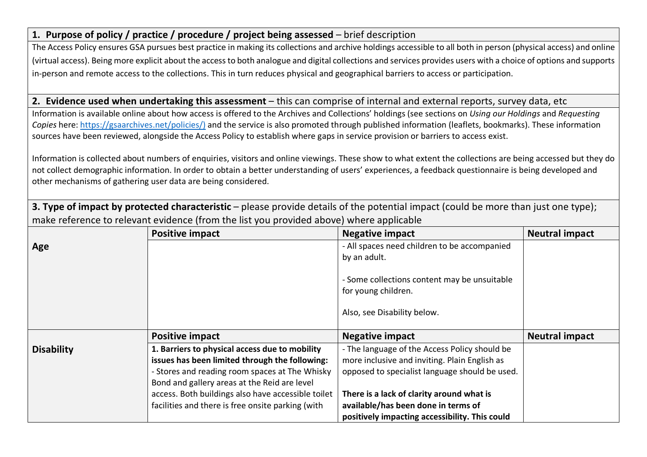## **1. Purpose of policy / practice / procedure / project being assessed** – brief description

The Access Policy ensures GSA pursues best practice in making its collections and archive holdings accessible to all both in person (physical access) and online (virtual access). Being more explicit about the access to both analogue and digital collections and services provides users with a choice of options and supports in-person and remote access to the collections. This in turn reduces physical and geographical barriers to access or participation.

#### **2. Evidence used when undertaking this assessment** – this can comprise of internal and external reports, survey data, etc

Information is available online about how access is offered to the Archives and Collections' holdings (see sections on *Using our Holdings* and *Requesting Copies* here: https://gsaarchives.net/policies/) and the service is also promoted through published information (leaflets, bookmarks). These information sources have been reviewed, alongside the Access Policy to establish where gaps in service provision or barriers to access exist.

Information is collected about numbers of enquiries, visitors and online viewings. These show to what extent the collections are being accessed but they do not collect demographic information. In order to obtain a better understanding of users' experiences, a feedback questionnaire is being developed and other mechanisms of gathering user data are being considered.

**3. Type of impact by protected characteristic** – please provide details of the potential impact (could be more than just one type); make reference to relevant evidence (from the list you provided above) where applicable

|                   | <b>Positive impact</b>                                                                           | <b>Negative impact</b>                                                                             | <b>Neutral impact</b> |
|-------------------|--------------------------------------------------------------------------------------------------|----------------------------------------------------------------------------------------------------|-----------------------|
| Age               |                                                                                                  | - All spaces need children to be accompanied                                                       |                       |
|                   |                                                                                                  | by an adult.                                                                                       |                       |
|                   |                                                                                                  | - Some collections content may be unsuitable<br>for young children.<br>Also, see Disability below. |                       |
|                   | <b>Positive impact</b>                                                                           | <b>Negative impact</b>                                                                             | <b>Neutral impact</b> |
| <b>Disability</b> | 1. Barriers to physical access due to mobility<br>issues has been limited through the following: | - The language of the Access Policy should be<br>more inclusive and inviting. Plain English as     |                       |
|                   | - Stores and reading room spaces at The Whisky                                                   | opposed to specialist language should be used.                                                     |                       |
|                   | Bond and gallery areas at the Reid are level                                                     |                                                                                                    |                       |
|                   | access. Both buildings also have accessible toilet                                               | There is a lack of clarity around what is                                                          |                       |
|                   | facilities and there is free onsite parking (with                                                | available/has been done in terms of                                                                |                       |
|                   |                                                                                                  | positively impacting accessibility. This could                                                     |                       |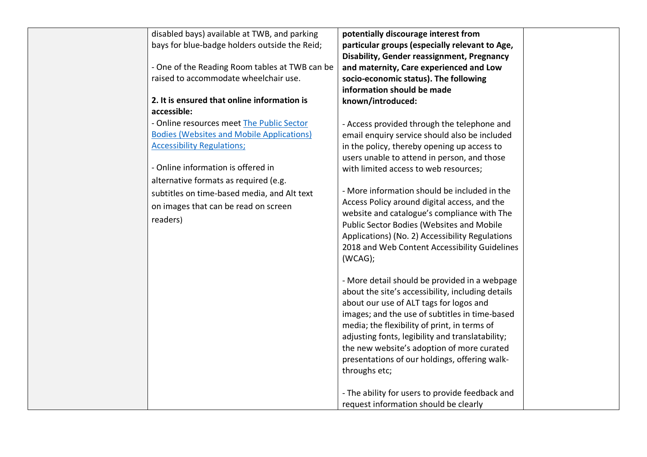| disabled bays) available at TWB, and parking     | potentially discourage interest from              |  |
|--------------------------------------------------|---------------------------------------------------|--|
| bays for blue-badge holders outside the Reid;    | particular groups (especially relevant to Age,    |  |
|                                                  | <b>Disability, Gender reassignment, Pregnancy</b> |  |
| - One of the Reading Room tables at TWB can be   | and maternity, Care experienced and Low           |  |
| raised to accommodate wheelchair use.            | socio-economic status). The following             |  |
|                                                  | information should be made                        |  |
| 2. It is ensured that online information is      | known/introduced:                                 |  |
| accessible:                                      |                                                   |  |
| - Online resources meet The Public Sector        | - Access provided through the telephone and       |  |
| <b>Bodies (Websites and Mobile Applications)</b> | email enquiry service should also be included     |  |
| <b>Accessibility Regulations;</b>                | in the policy, thereby opening up access to       |  |
|                                                  | users unable to attend in person, and those       |  |
| - Online information is offered in               | with limited access to web resources;             |  |
| alternative formats as required (e.g.            |                                                   |  |
| subtitles on time-based media, and Alt text      | - More information should be included in the      |  |
| on images that can be read on screen             | Access Policy around digital access, and the      |  |
| readers)                                         | website and catalogue's compliance with The       |  |
|                                                  | <b>Public Sector Bodies (Websites and Mobile</b>  |  |
|                                                  | Applications) (No. 2) Accessibility Regulations   |  |
|                                                  | 2018 and Web Content Accessibility Guidelines     |  |
|                                                  | (WCAG);                                           |  |
|                                                  |                                                   |  |
|                                                  | - More detail should be provided in a webpage     |  |
|                                                  | about the site's accessibility, including details |  |
|                                                  | about our use of ALT tags for logos and           |  |
|                                                  | images; and the use of subtitles in time-based    |  |
|                                                  | media; the flexibility of print, in terms of      |  |
|                                                  | adjusting fonts, legibility and translatability;  |  |
|                                                  | the new website's adoption of more curated        |  |
|                                                  | presentations of our holdings, offering walk-     |  |
|                                                  | throughs etc;                                     |  |
|                                                  |                                                   |  |
|                                                  | - The ability for users to provide feedback and   |  |
|                                                  | request information should be clearly             |  |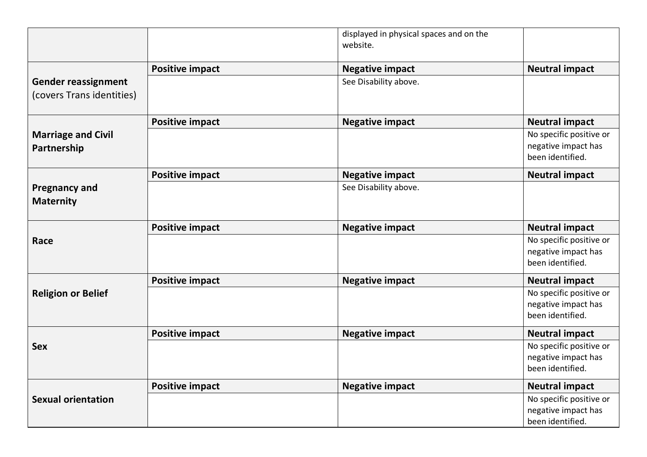|                                                         |                        | displayed in physical spaces and on the<br>website. |                                                                    |
|---------------------------------------------------------|------------------------|-----------------------------------------------------|--------------------------------------------------------------------|
|                                                         | <b>Positive impact</b> | <b>Negative impact</b>                              | <b>Neutral impact</b>                                              |
| <b>Gender reassignment</b><br>(covers Trans identities) |                        | See Disability above.                               |                                                                    |
|                                                         | <b>Positive impact</b> | <b>Negative impact</b>                              | <b>Neutral impact</b>                                              |
| <b>Marriage and Civil</b><br>Partnership                |                        |                                                     | No specific positive or<br>negative impact has<br>been identified. |
|                                                         | <b>Positive impact</b> | <b>Negative impact</b>                              | <b>Neutral impact</b>                                              |
| <b>Pregnancy and</b><br><b>Maternity</b>                |                        | See Disability above.                               |                                                                    |
|                                                         | <b>Positive impact</b> | <b>Negative impact</b>                              | <b>Neutral impact</b>                                              |
| Race                                                    |                        |                                                     | No specific positive or<br>negative impact has<br>been identified. |
|                                                         | <b>Positive impact</b> | <b>Negative impact</b>                              | <b>Neutral impact</b>                                              |
| <b>Religion or Belief</b>                               |                        |                                                     | No specific positive or<br>negative impact has<br>been identified. |
|                                                         | <b>Positive impact</b> | <b>Negative impact</b>                              | <b>Neutral impact</b>                                              |
| <b>Sex</b>                                              |                        |                                                     | No specific positive or<br>negative impact has<br>been identified. |
|                                                         | <b>Positive impact</b> | <b>Negative impact</b>                              | <b>Neutral impact</b>                                              |
| <b>Sexual orientation</b>                               |                        |                                                     | No specific positive or<br>negative impact has<br>been identified. |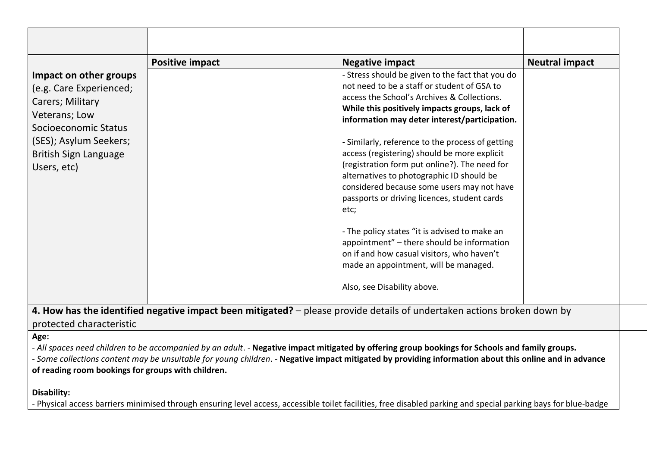|                                                                                                                                                                                         | <b>Positive impact</b>                                                                                                  | <b>Negative impact</b>                                                                                                                                                                                                                                                                                                                                                                                                                                                                                                                                                                                                                                                                                                                                                        | <b>Neutral impact</b> |
|-----------------------------------------------------------------------------------------------------------------------------------------------------------------------------------------|-------------------------------------------------------------------------------------------------------------------------|-------------------------------------------------------------------------------------------------------------------------------------------------------------------------------------------------------------------------------------------------------------------------------------------------------------------------------------------------------------------------------------------------------------------------------------------------------------------------------------------------------------------------------------------------------------------------------------------------------------------------------------------------------------------------------------------------------------------------------------------------------------------------------|-----------------------|
| Impact on other groups<br>(e.g. Care Experienced;<br>Carers; Military<br>Veterans; Low<br>Socioeconomic Status<br>(SES); Asylum Seekers;<br><b>British Sign Language</b><br>Users, etc) |                                                                                                                         | - Stress should be given to the fact that you do<br>not need to be a staff or student of GSA to<br>access the School's Archives & Collections.<br>While this positively impacts groups, lack of<br>information may deter interest/participation.<br>- Similarly, reference to the process of getting<br>access (registering) should be more explicit<br>(registration form put online?). The need for<br>alternatives to photographic ID should be<br>considered because some users may not have<br>passports or driving licences, student cards<br>etc;<br>- The policy states "it is advised to make an<br>appointment" - there should be information<br>on if and how casual visitors, who haven't<br>made an appointment, will be managed.<br>Also, see Disability above. |                       |
| protected characteristic                                                                                                                                                                | 4. How has the identified negative impact been mitigated? – please provide details of undertaken actions broken down by |                                                                                                                                                                                                                                                                                                                                                                                                                                                                                                                                                                                                                                                                                                                                                                               |                       |

**Age:**

- *All spaces need children to be accompanied by an adult*. - **Negative impact mitigated by offering group bookings for Schools and family groups.**

- *Some collections content may be unsuitable for young children*. - **Negative impact mitigated by providing information about this online and in advance of reading room bookings for groups with children.**

#### **Disability:**

- Physical access barriers minimised through ensuring level access, accessible toilet facilities, free disabled parking and special parking bays for blue-badge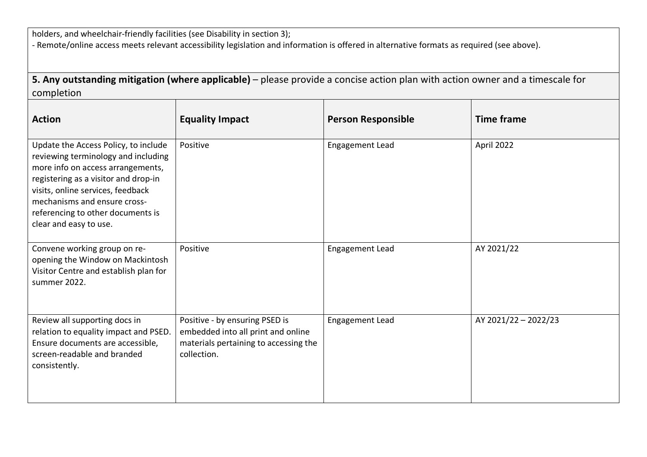holders, and wheelchair-friendly facilities (see Disability in section 3);

- Remote/online access meets relevant accessibility legislation and information is offered in alternative formats as required (see above).

**5. Any outstanding mitigation (where applicable)** – please provide a concise action plan with action owner and a timescale for completion

| <b>Action</b>                                                                                                                                                                                                                                                                                | <b>Equality Impact</b>                                                                                                       | <b>Person Responsible</b> | <b>Time frame</b>    |
|----------------------------------------------------------------------------------------------------------------------------------------------------------------------------------------------------------------------------------------------------------------------------------------------|------------------------------------------------------------------------------------------------------------------------------|---------------------------|----------------------|
| Update the Access Policy, to include<br>reviewing terminology and including<br>more info on access arrangements,<br>registering as a visitor and drop-in<br>visits, online services, feedback<br>mechanisms and ensure cross-<br>referencing to other documents is<br>clear and easy to use. | Positive                                                                                                                     | <b>Engagement Lead</b>    | April 2022           |
| Convene working group on re-<br>opening the Window on Mackintosh<br>Visitor Centre and establish plan for<br>summer 2022.                                                                                                                                                                    | Positive                                                                                                                     | <b>Engagement Lead</b>    | AY 2021/22           |
| Review all supporting docs in<br>relation to equality impact and PSED.<br>Ensure documents are accessible,<br>screen-readable and branded<br>consistently.                                                                                                                                   | Positive - by ensuring PSED is<br>embedded into all print and online<br>materials pertaining to accessing the<br>collection. | <b>Engagement Lead</b>    | AY 2021/22 - 2022/23 |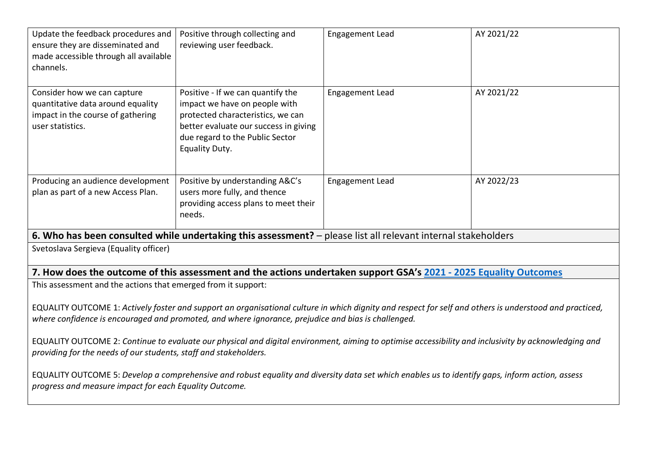| Update the feedback procedures and<br>ensure they are disseminated and<br>made accessible through all available<br>channels.                                                                                                                                   | Positive through collecting and<br>reviewing user feedback.                                                                                                                                           | <b>Engagement Lead</b>                                                                                            | AY 2021/22 |
|----------------------------------------------------------------------------------------------------------------------------------------------------------------------------------------------------------------------------------------------------------------|-------------------------------------------------------------------------------------------------------------------------------------------------------------------------------------------------------|-------------------------------------------------------------------------------------------------------------------|------------|
| Consider how we can capture<br>quantitative data around equality<br>impact in the course of gathering<br>user statistics.                                                                                                                                      | Positive - If we can quantify the<br>impact we have on people with<br>protected characteristics, we can<br>better evaluate our success in giving<br>due regard to the Public Sector<br>Equality Duty. | <b>Engagement Lead</b>                                                                                            | AY 2021/22 |
| Producing an audience development<br>plan as part of a new Access Plan.                                                                                                                                                                                        | Positive by understanding A&C's<br>users more fully, and thence<br>providing access plans to meet their<br>needs.                                                                                     | <b>Engagement Lead</b>                                                                                            | AY 2022/23 |
|                                                                                                                                                                                                                                                                |                                                                                                                                                                                                       | 6. Who has been consulted while undertaking this assessment? - please list all relevant internal stakeholders     |            |
| Svetoslava Sergieva (Equality officer)                                                                                                                                                                                                                         |                                                                                                                                                                                                       |                                                                                                                   |            |
|                                                                                                                                                                                                                                                                |                                                                                                                                                                                                       | 7. How does the outcome of this assessment and the actions undertaken support GSA's 2021 - 2025 Equality Outcomes |            |
| This assessment and the actions that emerged from it support:                                                                                                                                                                                                  |                                                                                                                                                                                                       |                                                                                                                   |            |
| EQUALITY OUTCOME 1: Actively foster and support an organisational culture in which dignity and respect for self and others is understood and practiced,<br>where confidence is encouraged and promoted, and where ignorance, prejudice and bias is challenged. |                                                                                                                                                                                                       |                                                                                                                   |            |
| EQUALITY OUTCOME 2: Continue to evaluate our physical and digital environment, aiming to optimise accessibility and inclusivity by acknowledging and<br>providing for the needs of our students, staff and stakeholders.                                       |                                                                                                                                                                                                       |                                                                                                                   |            |
| EQUALITY OUTCOME 5: Develop a comprehensive and robust equality and diversity data set which enables us to identify gaps, inform action, assess<br>progress and measure impact for each Equality Outcome.                                                      |                                                                                                                                                                                                       |                                                                                                                   |            |